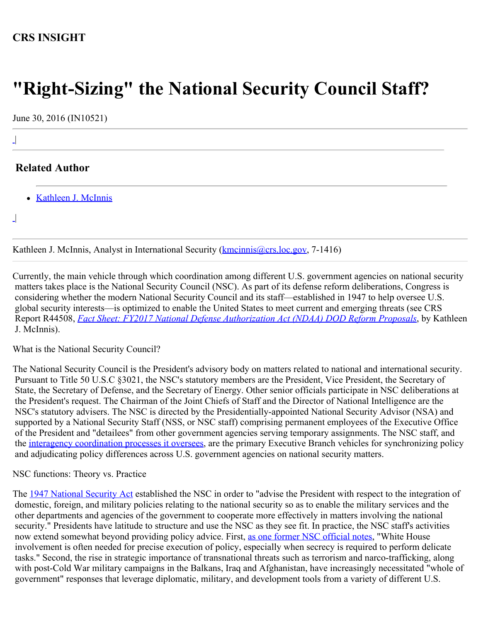## **CRS INSIGHT**

# **"Right-Sizing" the National Security Council Staff?**

June 30, 2016 (IN10521)

## **Related Author**

• [Kathleen J. McInnis](http://www.crs.gov/Author/index?id=105037)

 $\overline{\phantom{a}}$ |

|

 $\perp$ 

Kathleen J. McInnis, Analyst in International Security (**kmcinnis@crs.loc.gov**, 7-1416)

Currently, the main vehicle through which coordination among different U.S. government agencies on national security matters takes place is the National Security Council (NSC). As part of its defense reform deliberations, Congress is considering whether the modern National Security Council and its staff—established in 1947 to help oversee U.S. global security interests—is optimized to enable the United States to meet current and emerging threats (see CRS Report R44508, *[Fact Sheet: FY2017 National Defense Authorization Act \(NDAA\) DOD Reform Proposals](http://www.fas.org/sgp/crs/natsec/R44508.pdf)*, by Kathleen J. McInnis).

What is the National Security Council?

The National Security Council is the President's advisory body on matters related to national and international security. Pursuant to Title 50 U.S.C §3021, the NSC's statutory members are the President, Vice President, the Secretary of State, the Secretary of Defense, and the Secretary of Energy. Other senior officials participate in NSC deliberations at the President's request. The Chairman of the Joint Chiefs of Staff and the Director of National Intelligence are the NSC's statutory advisers. The NSC is directed by the Presidentially-appointed National Security Advisor (NSA) and supported by a National Security Staff (NSS, or NSC staff) comprising permanent employees of the Executive Office of the President and "detailees" from other government agencies serving temporary assignments. The NSC staff, and the [interagency coordination processes it oversees](https://fas.org/irp/offdocs/ppd/ppd-1.pdf), are the primary Executive Branch vehicles for synchronizing policy and adjudicating policy differences across U.S. government agencies on national security matters.

#### NSC functions: Theory vs. Practice

The [1947 National Security Act](http://history.defense.gov/Portals/70/Documents/dod_reforms/NSA1947.pdf) established the NSC in order to "advise the President with respect to the integration of domestic, foreign, and military policies relating to the national security so as to enable the military services and the other departments and agencies of the government to cooperate more effectively in matters involving the national security." Presidents have latitude to structure and use the NSC as they see fit. In practice, the NSC staff's activities now extend somewhat beyond providing policy advice. First, [as one former NSC official notes](http://www.defenseone.com/ideas/2016/04/whats-wrong-obamas-national-security-council/127802/), "White House involvement is often needed for precise execution of policy, especially when secrecy is required to perform delicate tasks." Second, the rise in strategic importance of transnational threats such as terrorism and narco-trafficking, along with post-Cold War military campaigns in the Balkans, Iraq and Afghanistan, have increasingly necessitated "whole of government" responses that leverage diplomatic, military, and development tools from a variety of different U.S.